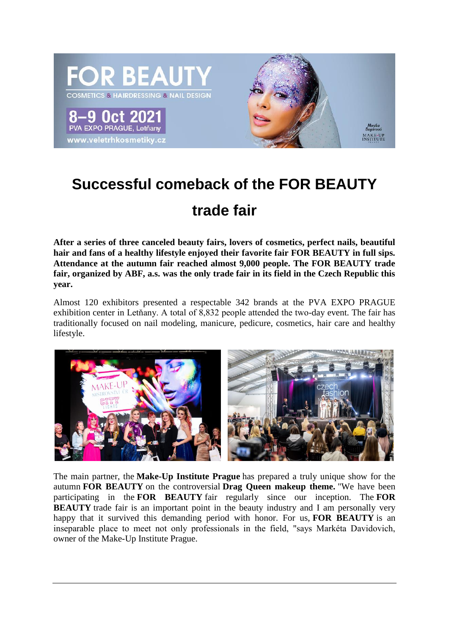

## **Successful comeback of the FOR BEAUTY**

## **trade fair**

**After a series of three canceled beauty fairs, lovers of cosmetics, perfect nails, beautiful hair and fans of a healthy lifestyle enjoyed their favorite fair FOR BEAUTY in full sips. Attendance at the autumn fair reached almost 9,000 people. The FOR BEAUTY trade fair, organized by ABF, a.s. was the only trade fair in its field in the Czech Republic this year.**

Almost 120 exhibitors presented a respectable 342 brands at the PVA EXPO PRAGUE exhibition center in Letňany. A total of 8,832 people attended the two-day event. The fair has traditionally focused on nail modeling, manicure, pedicure, cosmetics, hair care and healthy lifestyle.



The main partner, the **Make-Up Institute Prague** has prepared a truly unique show for the autumn **FOR BEAUTY** on the controversial **Drag Queen makeup theme.** "We have been participating in the **FOR BEAUTY** fair regularly since our inception. The **FOR BEAUTY** trade fair is an important point in the beauty industry and I am personally very happy that it survived this demanding period with honor. For us, **FOR BEAUTY** is an inseparable place to meet not only professionals in the field, "says Markéta Davidovich, owner of the Make-Up Institute Prague.